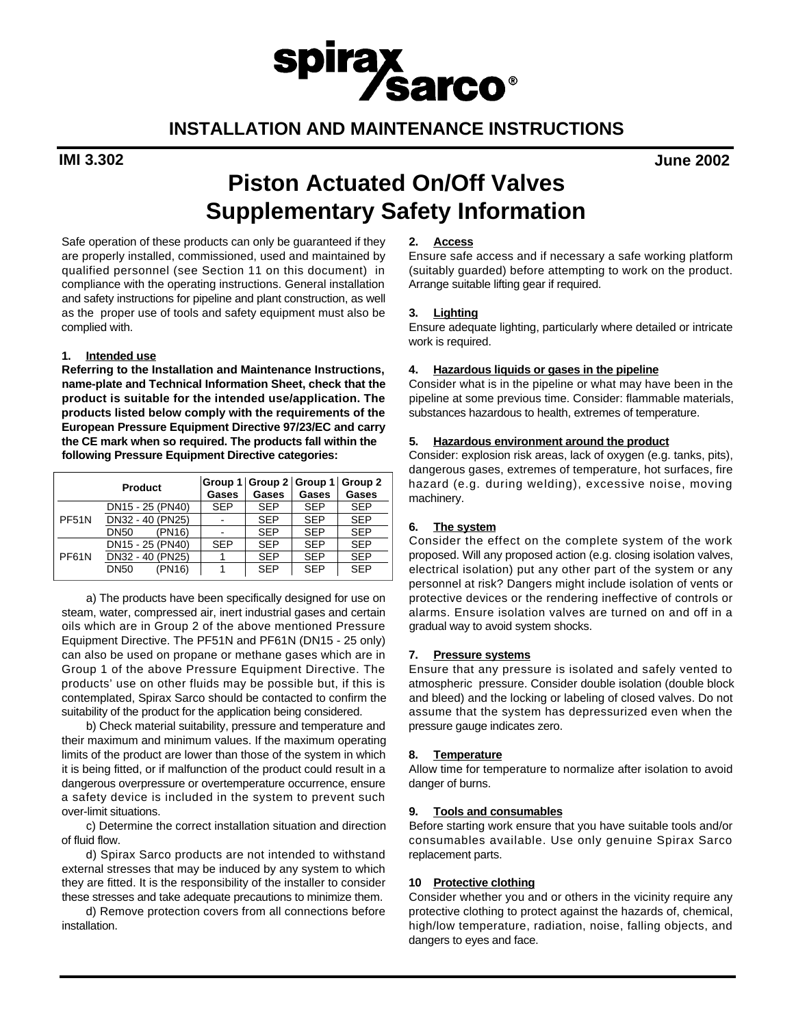## **INSTALLATION AND MAINTENANCE INSTRUCTIONS**

spirax<br>
Sarco®

**IMI 3.302 June 2002**

# **Piston Actuated On/Off Valves Supplementary Safety Information**

Safe operation of these products can only be guaranteed if they are properly installed, commissioned, used and maintained by qualified personnel (see Section 11 on this document) in compliance with the operating instructions. General installation and safety instructions for pipeline and plant construction, as well as the proper use of tools and safety equipment must also be complied with.

#### **1 . Intended use**

**Referring to the Installation and Maintenance Instructions, name-plate and Technical Information Sheet, check that the product is suitable for the intended use/application. The products listed below comply with the requirements of the European Pressure Equipment Directive 97/23/EC and carry the CE mark when so required. The products fall within the following Pressure Equipment Directive categories:**

|              | <b>Product</b>        | Gases      | Group $1  $ Group $2  $ Group $1  $<br>Gases | <b>Gases</b> | Group 2<br>Gases |
|--------------|-----------------------|------------|----------------------------------------------|--------------|------------------|
| <b>PF51N</b> | DN15 - 25 (PN40)      | <b>SEP</b> | <b>SEP</b>                                   | <b>SEP</b>   | <b>SEP</b>       |
|              | DN32 - 40 (PN25)      |            | <b>SEP</b>                                   | <b>SEP</b>   | <b>SEP</b>       |
|              | (PN16)<br><b>DN50</b> |            | <b>SEP</b>                                   | <b>SEP</b>   | <b>SEP</b>       |
| PF61N        | DN15 - 25 (PN40)      | <b>SFP</b> | <b>SEP</b>                                   | <b>SEP</b>   | <b>SEP</b>       |
|              | DN32 - 40 (PN25)      |            | <b>SEP</b>                                   | <b>SFP</b>   | <b>SEP</b>       |
|              | <b>DN50</b><br>(PN16) |            | <b>SEP</b>                                   | <b>SEP</b>   | <b>SFP</b>       |

a) The products have been specifically designed for use on steam, water, compressed air, inert industrial gases and certain oils which are in Group 2 of the above mentioned Pressure Equipment Directive. The PF51N and PF61N (DN15 - 25 only) can also be used on propane or methane gases which are in Group 1 of the above Pressure Equipment Directive. The products' use on other fluids may be possible but, if this is contemplated, Spirax Sarco should be contacted to confirm the suitability of the product for the application being considered.

b) Check material suitability, pressure and temperature and their maximum and minimum values. If the maximum operating limits of the product are lower than those of the system in which it is being fitted, or if malfunction of the product could result in a dangerous overpressure or overtemperature occurrence, ensure a safety device is included in the system to prevent such over-limit situations.

c) Determine the correct installation situation and direction of fluid flow.

d) Spirax Sarco products are not intended to withstand external stresses that may be induced by any system to which they are fitted. It is the responsibility of the installer to consider these stresses and take adequate precautions to minimize them.

d) Remove protection covers from all connections before in stallation.

#### 2. **Access**

Ensure safe access and if necessary a safe working platform (suitably guarded) before attempting to work on the product. Arrange suitable lifting gear if required.

#### **3.** Lighting

Ensure adequate lighting, particularly where detailed or intricate work is required.

#### **4. Hazardous liquids or gases in the pipeline**

Consider what is in the pipeline or what may have been in the pipeline at some previous time. Consider: flammable materials, substances hazardous to health, extremes of temperature.

#### **5 . Hazardous environment around the product**

Consider: explosion risk areas, lack of oxygen (e.g. tanks, pits), dangerous gases, extremes of temperature, hot surfaces, fire hazard (e.g. during welding), excessive noise, moving machinery.

#### **6 . The system**

Consider the effect on the complete system of the work proposed. Will any proposed action (e.g. closing isolation valves, electrical isolation) put any other part of the system or any personnel at risk? Dangers might include isolation of vents or protective devices or the rendering ineffective of controls or alarms. Ensure isolation valves are turned on and off in a gradual way to avoid system shocks.

#### **7 . Pressure systems**

Ensure that any pressure is isolated and safely vented to atmospheric pressure. Consider double isolation (double block and bleed) and the locking or labeling of closed valves. Do not assume that the system has depressurized even when the pressure gauge indicates zero.

#### **8.** Temperature

Allow time for temperature to normalize after isolation to avoid danger of burns.

#### **9 . Tools and consumables**

Before starting work ensure that you have suitable tools and/or consumables available. Use only genuine Spirax Sarco replacement parts.

#### **10** Protective clothing

Consider whether you and or others in the vicinity require any protective clothing to protect against the hazards of, chemical, high/low temperature, radiation, noise, falling objects, and dangers to eyes and face.